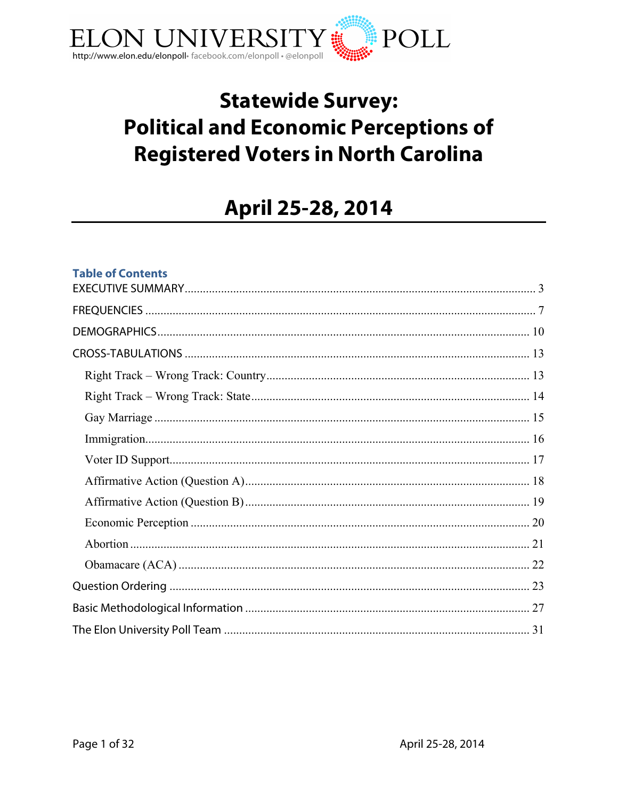

## **Statewide Survey: Political and Economic Perceptions of Registered Voters in North Carolina**

# April 25-28, 2014

## **Table of Contents**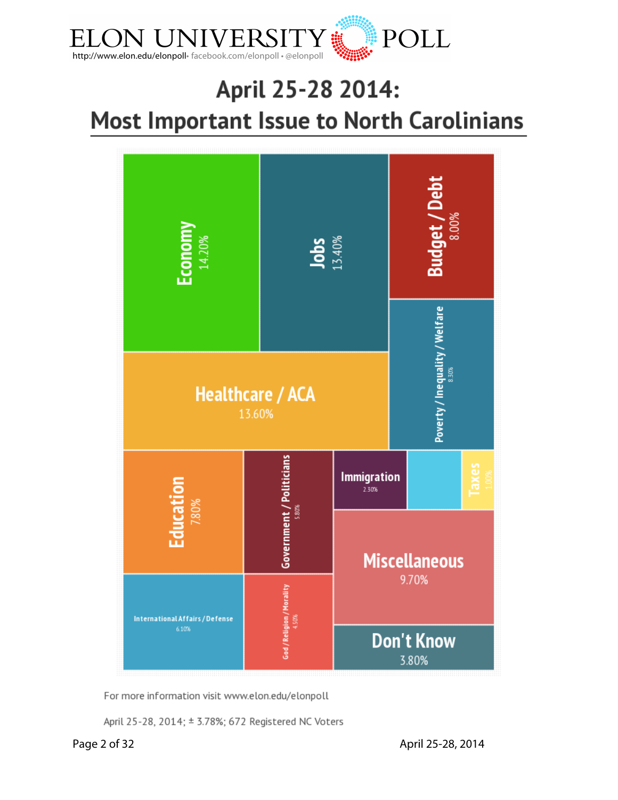

# April 25-28 2014: **Most Important Issue to North Carolinians**



For more information visit www.elon.edu/elonpoll

April 25-28, 2014; ± 3.78%; 672 Registered NC Voters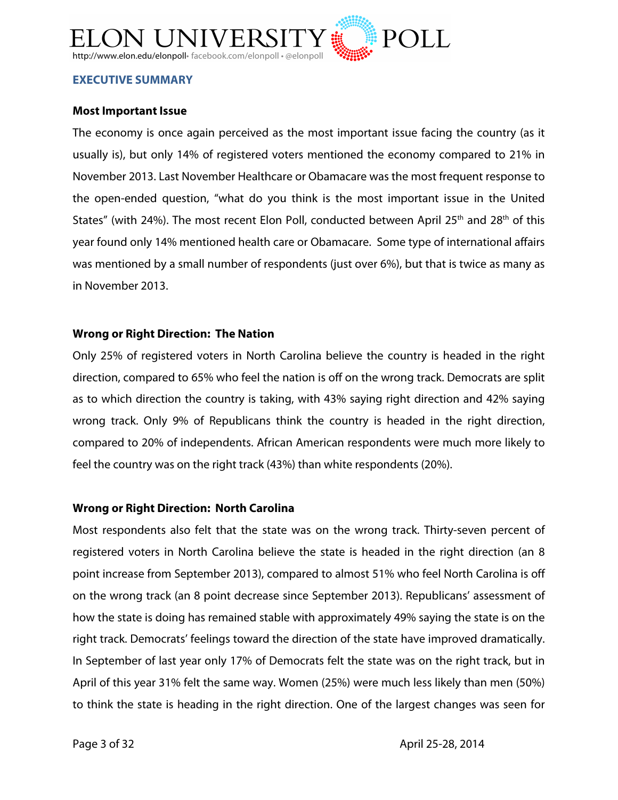

#### **EXECUTIVE SUMMARY**

## **Most Important Issue**

The economy is once again perceived as the most important issue facing the country (as it usually is), but only 14% of registered voters mentioned the economy compared to 21% in November 2013. Last November Healthcare or Obamacare was the most frequent response to the open-ended question, "what do you think is the most important issue in the United States" (with 24%). The most recent Elon Poll, conducted between April 25<sup>th</sup> and 28<sup>th</sup> of this year found only 14% mentioned health care or Obamacare. Some type of international affairs was mentioned by a small number of respondents (just over 6%), but that is twice as many as in November 2013.

### **Wrong or Right Direction: The Nation**

Only 25% of registered voters in North Carolina believe the country is headed in the right direction, compared to 65% who feel the nation is off on the wrong track. Democrats are split as to which direction the country is taking, with 43% saying right direction and 42% saying wrong track. Only 9% of Republicans think the country is headed in the right direction, compared to 20% of independents. African American respondents were much more likely to feel the country was on the right track (43%) than white respondents (20%).

## **Wrong or Right Direction: North Carolina**

Most respondents also felt that the state was on the wrong track. Thirty-seven percent of registered voters in North Carolina believe the state is headed in the right direction (an 8 point increase from September 2013), compared to almost 51% who feel North Carolina is off on the wrong track (an 8 point decrease since September 2013). Republicans' assessment of how the state is doing has remained stable with approximately 49% saying the state is on the right track. Democrats' feelings toward the direction of the state have improved dramatically. In September of last year only 17% of Democrats felt the state was on the right track, but in April of this year 31% felt the same way. Women (25%) were much less likely than men (50%) to think the state is heading in the right direction. One of the largest changes was seen for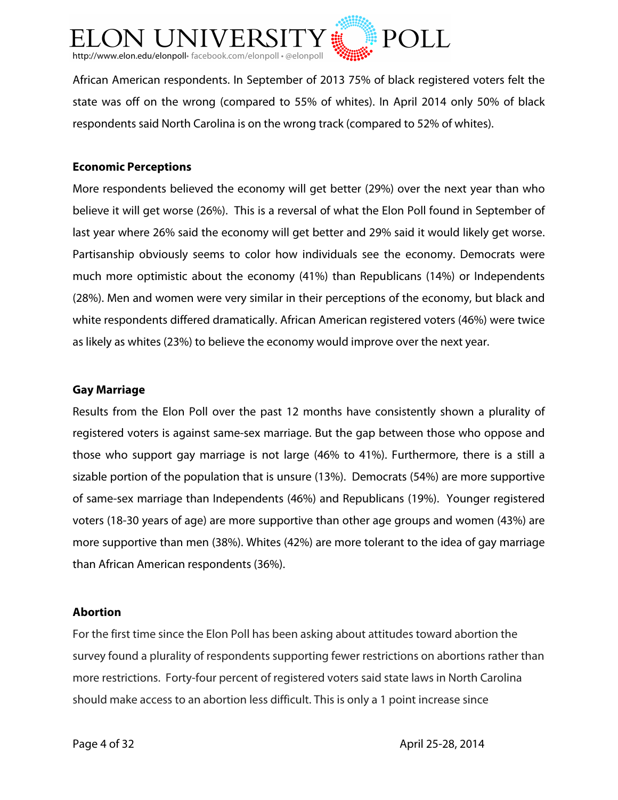

African American respondents. In September of 2013 75% of black registered voters felt the state was off on the wrong (compared to 55% of whites). In April 2014 only 50% of black respondents said North Carolina is on the wrong track (compared to 52% of whites).

## **Economic Perceptions**

More respondents believed the economy will get better (29%) over the next year than who believe it will get worse (26%). This is a reversal of what the Elon Poll found in September of last year where 26% said the economy will get better and 29% said it would likely get worse. Partisanship obviously seems to color how individuals see the economy. Democrats were much more optimistic about the economy (41%) than Republicans (14%) or Independents (28%). Men and women were very similar in their perceptions of the economy, but black and white respondents differed dramatically. African American registered voters (46%) were twice as likely as whites (23%) to believe the economy would improve over the next year.

## **Gay Marriage**

Results from the Elon Poll over the past 12 months have consistently shown a plurality of registered voters is against same-sex marriage. But the gap between those who oppose and those who support gay marriage is not large (46% to 41%). Furthermore, there is a still a sizable portion of the population that is unsure (13%). Democrats (54%) are more supportive of same-sex marriage than Independents (46%) and Republicans (19%). Younger registered voters (18-30 years of age) are more supportive than other age groups and women (43%) are more supportive than men (38%). Whites (42%) are more tolerant to the idea of gay marriage than African American respondents (36%).

## **Abortion**

For the first time since the Elon Poll has been asking about attitudes toward abortion the survey found a plurality of respondents supporting fewer restrictions on abortions rather than more restrictions. Forty-four percent of registered voters said state laws in North Carolina should make access to an abortion less difficult. This is only a 1 point increase since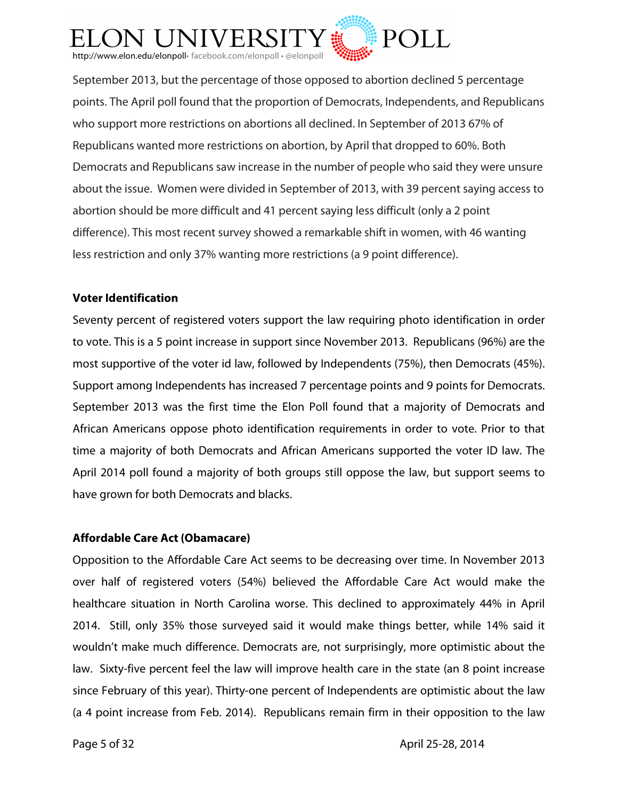

September 2013, but the percentage of those opposed to abortion declined 5 percentage points. The April poll found that the proportion of Democrats, Independents, and Republicans who support more restrictions on abortions all declined. In September of 2013 67% of Republicans wanted more restrictions on abortion, by April that dropped to 60%. Both Democrats and Republicans saw increase in the number of people who said they were unsure about the issue. Women were divided in September of 2013, with 39 percent saying access to abortion should be more difficult and 41 percent saying less difficult (only a 2 point difference). This most recent survey showed a remarkable shift in women, with 46 wanting less restriction and only 37% wanting more restrictions (a 9 point difference).

## **Voter Identification**

Seventy percent of registered voters support the law requiring photo identification in order to vote. This is a 5 point increase in support since November 2013. Republicans (96%) are the most supportive of the voter id law, followed by Independents (75%), then Democrats (45%). Support among Independents has increased 7 percentage points and 9 points for Democrats. September 2013 was the first time the Elon Poll found that a majority of Democrats and African Americans oppose photo identification requirements in order to vote. Prior to that time a majority of both Democrats and African Americans supported the voter ID law. The April 2014 poll found a majority of both groups still oppose the law, but support seems to have grown for both Democrats and blacks.

## **Affordable Care Act (Obamacare)**

Opposition to the Affordable Care Act seems to be decreasing over time. In November 2013 over half of registered voters (54%) believed the Affordable Care Act would make the healthcare situation in North Carolina worse. This declined to approximately 44% in April 2014. Still, only 35% those surveyed said it would make things better, while 14% said it wouldn't make much difference. Democrats are, not surprisingly, more optimistic about the law. Sixty-five percent feel the law will improve health care in the state (an 8 point increase since February of this year). Thirty-one percent of Independents are optimistic about the law (a 4 point increase from Feb. 2014). Republicans remain firm in their opposition to the law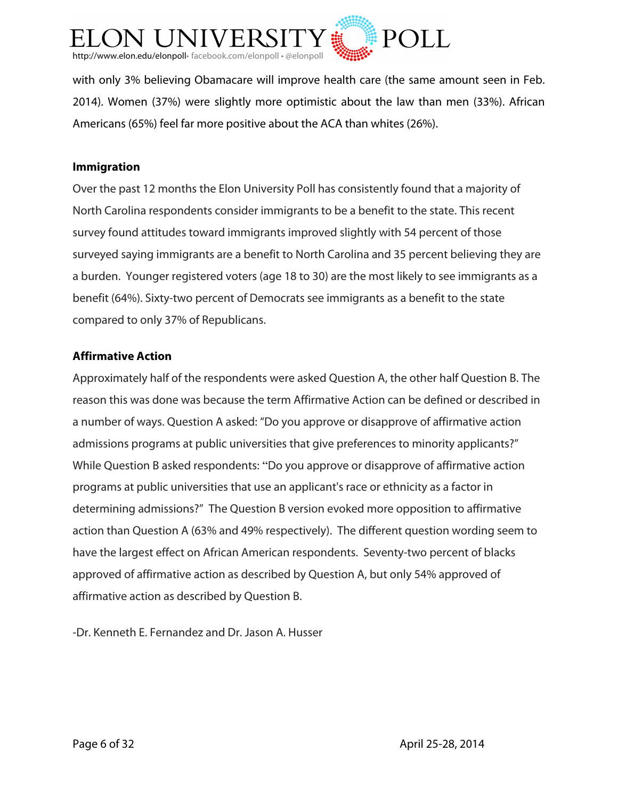

with only 3% believing Obamacare will improve health care (the same amount seen in Feb. 2014). Women (37%) were slightly more optimistic about the law than men (33%). African Americans (65%) feel far more positive about the ACA than whites (26%).

## **Immigration**

Over the past 12 months the Elon University Poll has consistently found that a majority of North Carolina respondents consider immigrants to be a benefit to the state. This recent survey found attitudes toward immigrants improved slightly with 54 percent of those surveyed saying immigrants are a benefit to North Carolina and 35 percent believing they are a burden. Younger registered voters (age 18 to 30) are the most likely to see immigrants as a benefit (64%). Sixty-two percent of Democrats see immigrants as a benefit to the state compared to only 37% of Republicans.

### **Affirmative Action**

Approximately half of the respondents were asked Question A, the other half Question B. The reason this was done was because the term Affirmative Action can be defined or described in a number of ways. Question A asked: "Do you approve or disapprove of affirmative action admissions programs at public universities that give preferences to minority applicants?" While Question B asked respondents: "Do you approve or disapprove of affirmative action programs at public universities that use an applicant's race or ethnicity as a factor in determining admissions?" The Question B version evoked more opposition to affirmative action than Question A (63% and 49% respectively). The different question wording seem to have the largest effect on African American respondents. Seventy-two percent of blacks approved of affirmative action as described by Question A, but only 54% approved of affirmative action as described by Question B.

-Dr. Kenneth E. Fernandez and Dr. Jason A. Husser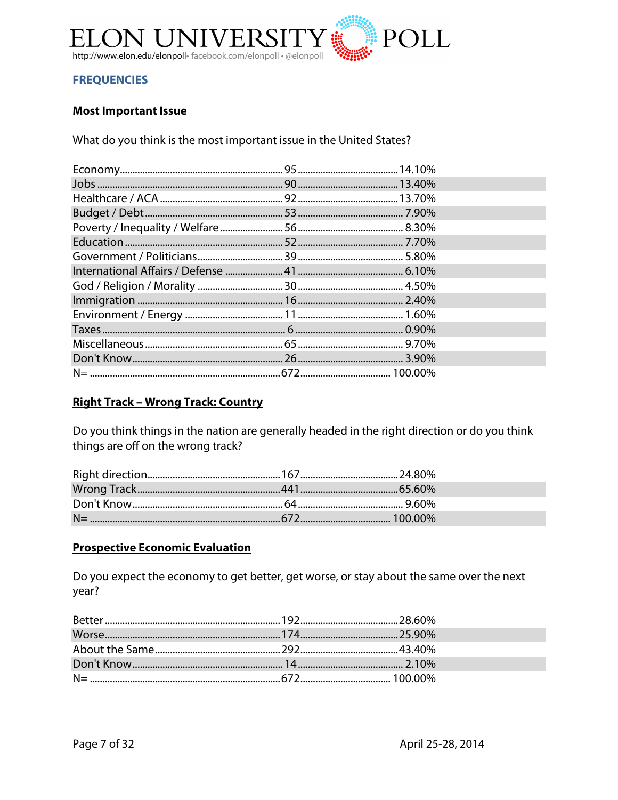

## **FREQUENCIES**

## **Most Important Issue**

What do you think is the most important issue in the United States?

## **Right Track - Wrong Track: Country**

Do you think things in the nation are generally headed in the right direction or do you think things are off on the wrong track?

## **Prospective Economic Evaluation**

Do you expect the economy to get better, get worse, or stay about the same over the next year?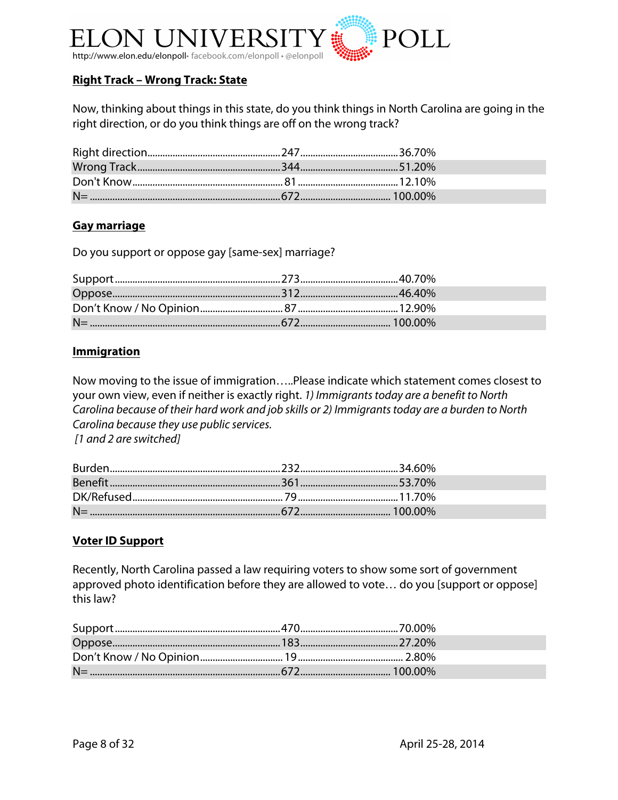

## **Right Track – Wrong Track: State**

Now, thinking about things in this state, do you think things in North Carolina are going in the right direction, or do you think things are off on the wrong track?

## **Gay marriage**

Do you support or oppose gay [same-sex] marriage?

### **Immigration**

Now moving to the issue of immigration…..Please indicate which statement comes closest to your own view, even if neither is exactly right. *1) Immigrants today are a benefit to North Carolina because of their hard work and job skills or 2) Immigrants today are a burden to North Carolina because they use public services. [1 and 2 are switched]*

Burden....................................................................232.......................................34.60% Benefit....................................................................361.......................................53.70% DK/Refused............................................................ 79........................................11.70% N= ............................................................................672.................................... 100.00%

#### **Voter ID Support**

Recently, North Carolina passed a law requiring voters to show some sort of government approved photo identification before they are allowed to vote… do you [support or oppose] this law?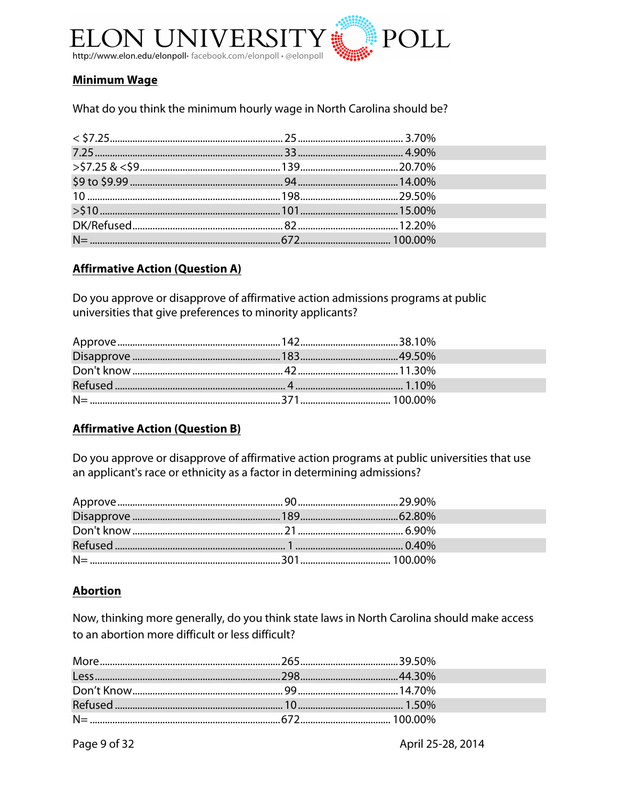

## **Minimum Wage**

What do you think the minimum hourly wage in North Carolina should be?

## **Affirmative Action (Question A)**

Do you approve or disapprove of affirmative action admissions programs at public universities that give preferences to minority applicants?

## **Affirmative Action (Question B)**

Do you approve or disapprove of affirmative action programs at public universities that use an applicant's race or ethnicity as a factor in determining admissions?

## **Abortion**

Now, thinking more generally, do you think state laws in North Carolina should make access to an abortion more difficult or less difficult?

Page 9 of 32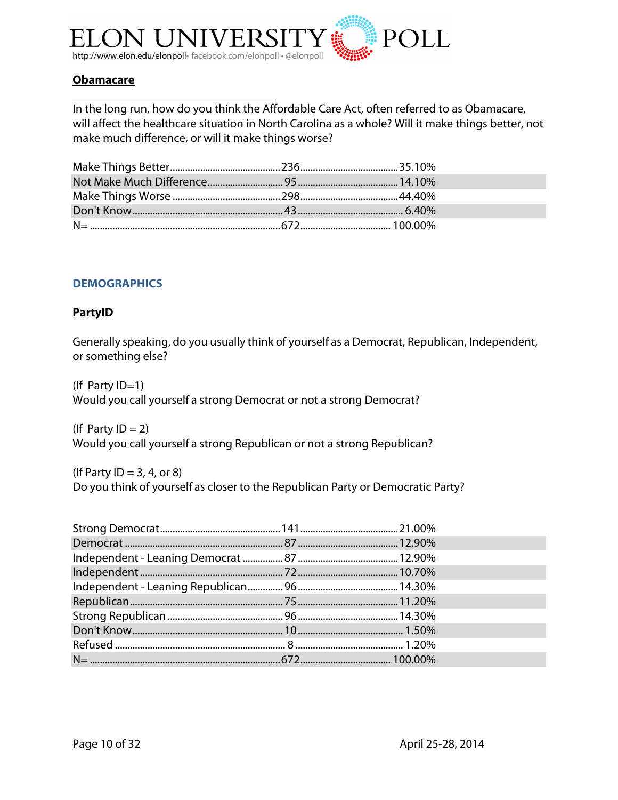

## **Obamacare**

In the long run, how do you think the Affordable Care Act, often referred to as Obamacare, will affect the healthcare situation in North Carolina as a whole? Will it make things better, not make much difference, or will it make things worse?

### **DEMOGRAPHICS**

#### **PartyID**

Generally speaking, do you usually think of yourself as a Democrat, Republican, Independent, or something else?

(If Party ID=1) Would you call yourself a strong Democrat or not a strong Democrat?

(If Party  $ID = 2$ ) Would you call yourself a strong Republican or not a strong Republican?

(If Party  $ID = 3, 4,$  or 8) Do you think of yourself as closer to the Republican Party or Democratic Party?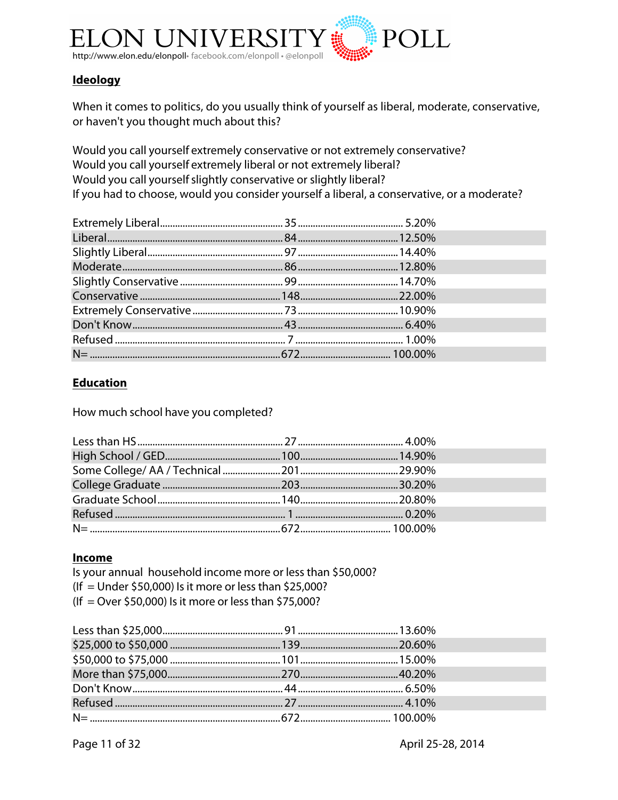

## **Ideology**

When it comes to politics, do you usually think of yourself as liberal, moderate, conservative, or haven't you thought much about this?

Would you call yourself extremely conservative or not extremely conservative? Would you call yourself extremely liberal or not extremely liberal? Would you call yourself slightly conservative or slightly liberal? If you had to choose, would you consider yourself a liberal, a conservative, or a moderate?

## **Education**

How much school have you completed?

## **Income**

Is your annual household income more or less than \$50,000? (If = Under \$50,000) Is it more or less than \$25,000? (If = Over \$50,000) Is it more or less than \$75,000?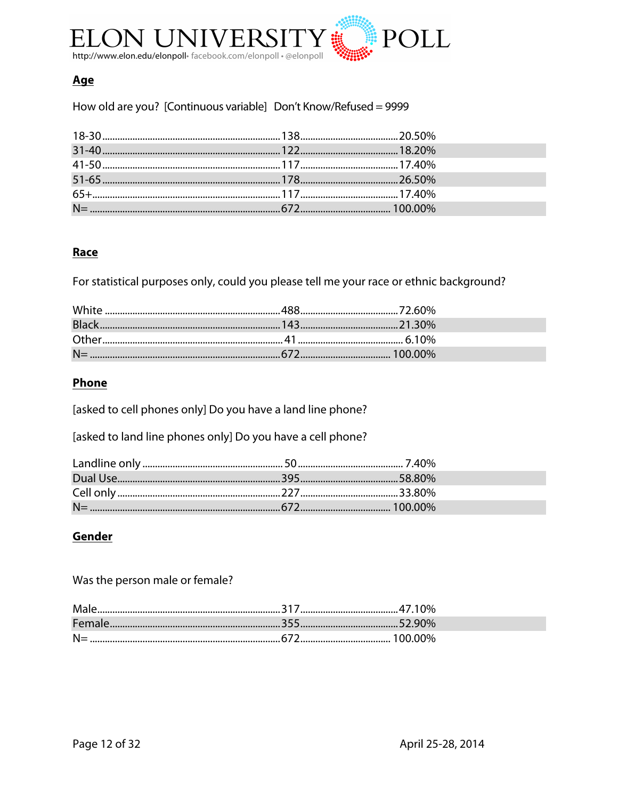

## <u>Age</u>

How old are you? [Continuous variable] Don't Know/Refused = 9999

## Race

For statistical purposes only, could you please tell me your race or ethnic background?

## Phone

[asked to cell phones only] Do you have a land line phone?

[asked to land line phones only] Do you have a cell phone?

## Gender

Was the person male or female?

| Male  |  |
|-------|--|
|       |  |
| $N =$ |  |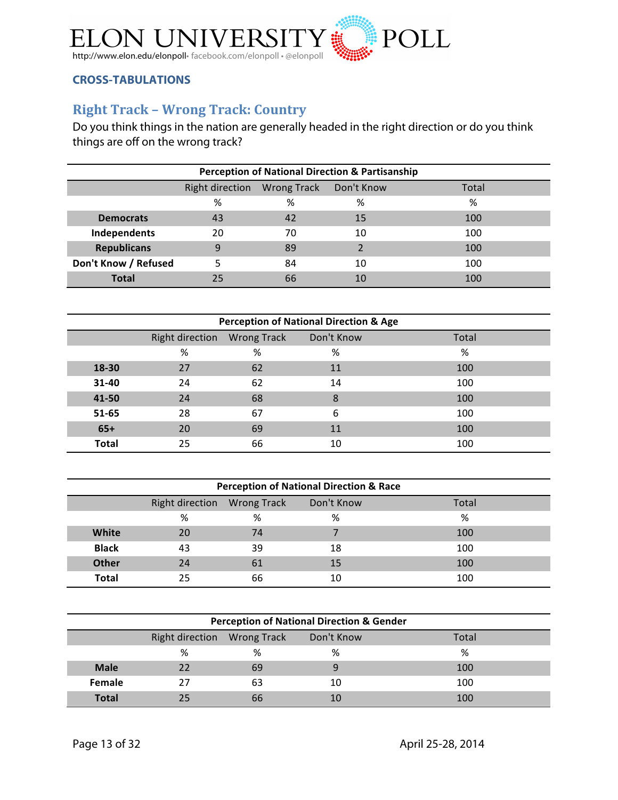

## **CROSS-TABULATIONS**

## **Right Track - Wrong Track: Country**

Do you think things in the nation are generally headed in the right direction or do you think things are off on the wrong track?

| <b>Perception of National Direction &amp; Partisanship</b> |    |    |    |     |  |  |  |
|------------------------------------------------------------|----|----|----|-----|--|--|--|
| Right direction Wrong Track Don't Know<br>Total            |    |    |    |     |  |  |  |
|                                                            | %  | %  | %  | %   |  |  |  |
| <b>Democrats</b>                                           | 43 | 42 | 15 | 100 |  |  |  |
| Independents                                               | 20 | 70 | 10 | 100 |  |  |  |
| <b>Republicans</b>                                         | 9  | 89 |    | 100 |  |  |  |
| Don't Know / Refused                                       |    | 84 | 10 | 100 |  |  |  |
| <b>Total</b>                                               | 25 | 66 | 10 | 100 |  |  |  |

| <b>Perception of National Direction &amp; Age</b> |                             |    |            |       |  |
|---------------------------------------------------|-----------------------------|----|------------|-------|--|
|                                                   | Right direction Wrong Track |    | Don't Know | Total |  |
|                                                   | %                           | %  | %          | %     |  |
| 18-30                                             | 27                          | 62 | 11         | 100   |  |
| 31-40                                             | 24                          | 62 | 14         | 100   |  |
| 41-50                                             | 24                          | 68 | 8          | 100   |  |
| 51-65                                             | 28                          | 67 | 6          | 100   |  |
| $65+$                                             | 20                          | 69 | 11         | 100   |  |
| <b>Total</b>                                      | 25                          | 66 | 10         | 100   |  |

| <b>Perception of National Direction &amp; Race</b> |    |    |            |       |  |
|----------------------------------------------------|----|----|------------|-------|--|
|                                                    |    |    | Don't Know | Total |  |
|                                                    | %  | %  | %          | %     |  |
| White                                              | 20 | 74 |            | 100   |  |
| <b>Black</b>                                       | 43 | 39 | 18         | 100   |  |
| <b>Other</b>                                       | 24 | 61 | 15         | 100   |  |
| <b>Total</b>                                       | 25 | 66 | 10         | 100   |  |

| <b>Perception of National Direction &amp; Gender</b> |    |    |    |     |  |
|------------------------------------------------------|----|----|----|-----|--|
| Don't Know<br>Total                                  |    |    |    |     |  |
|                                                      | %  | %  | %  | %   |  |
| <b>Male</b>                                          | 22 | 69 | 9  | 100 |  |
| Female                                               | 27 | 63 | 10 | 100 |  |
| <b>Total</b>                                         | 25 |    |    | 100 |  |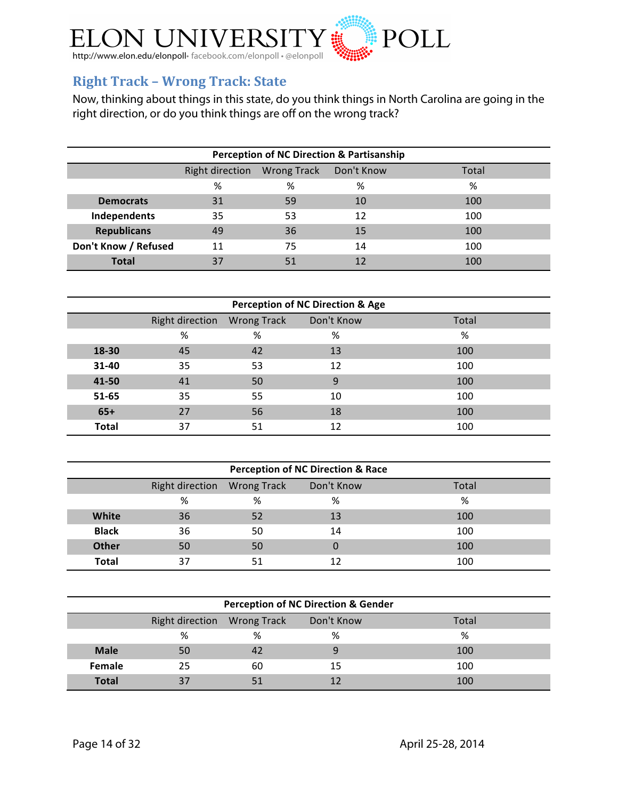

## **Right Track - Wrong Track: State**

Now, thinking about things in this state, do you think things in North Carolina are going in the right direction, or do you think things are off on the wrong track?

| <b>Perception of NC Direction &amp; Partisanship</b> |    |    |    |     |  |  |  |
|------------------------------------------------------|----|----|----|-----|--|--|--|
| Wrong Track Don't Know<br>Right direction<br>Total   |    |    |    |     |  |  |  |
|                                                      | %  | %  | %  | %   |  |  |  |
| <b>Democrats</b>                                     | 31 | 59 | 10 | 100 |  |  |  |
| Independents                                         | 35 | 53 | 12 | 100 |  |  |  |
| <b>Republicans</b>                                   | 49 | 36 | 15 | 100 |  |  |  |
| Don't Know / Refused                                 | 11 | 75 | 14 | 100 |  |  |  |
| <b>Total</b>                                         | 37 | 51 | 12 | 100 |  |  |  |

| <b>Perception of NC Direction &amp; Age</b> |                 |                    |            |       |  |  |  |  |
|---------------------------------------------|-----------------|--------------------|------------|-------|--|--|--|--|
|                                             | Right direction | <b>Wrong Track</b> | Don't Know | Total |  |  |  |  |
|                                             | %               | %                  | %          | %     |  |  |  |  |
| 18-30                                       | 45              | 42                 | 13         | 100   |  |  |  |  |
| 31-40                                       | 35              | 53                 | 12         | 100   |  |  |  |  |
| 41-50                                       | 41              | 50                 | 9          | 100   |  |  |  |  |
| 51-65                                       | 35              | 55                 | 10         | 100   |  |  |  |  |
| $65+$                                       | 27              | 56                 | 18         | 100   |  |  |  |  |
| <b>Total</b>                                | 37              | 51                 | 12         | 100   |  |  |  |  |

| <b>Perception of NC Direction &amp; Race</b> |                             |    |            |       |  |  |  |  |
|----------------------------------------------|-----------------------------|----|------------|-------|--|--|--|--|
|                                              | Right direction Wrong Track |    | Don't Know | Total |  |  |  |  |
|                                              | %                           | %  | %          | %     |  |  |  |  |
| White                                        | 36                          | 52 | 13         | 100   |  |  |  |  |
| <b>Black</b>                                 | 36                          | 50 | 14         | 100   |  |  |  |  |
| <b>Other</b>                                 | 50                          | 50 |            | 100   |  |  |  |  |
| <b>Total</b>                                 | 37                          | 51 |            | 100   |  |  |  |  |

| <b>Perception of NC Direction &amp; Gender</b> |                     |    |    |     |  |  |  |  |
|------------------------------------------------|---------------------|----|----|-----|--|--|--|--|
|                                                | Don't Know<br>Total |    |    |     |  |  |  |  |
|                                                | %                   | %  | %  | %   |  |  |  |  |
| <b>Male</b>                                    | 50                  |    |    | 100 |  |  |  |  |
| Female                                         | 25                  | 60 | 15 | 100 |  |  |  |  |
| <b>Total</b>                                   | 37                  |    |    | 100 |  |  |  |  |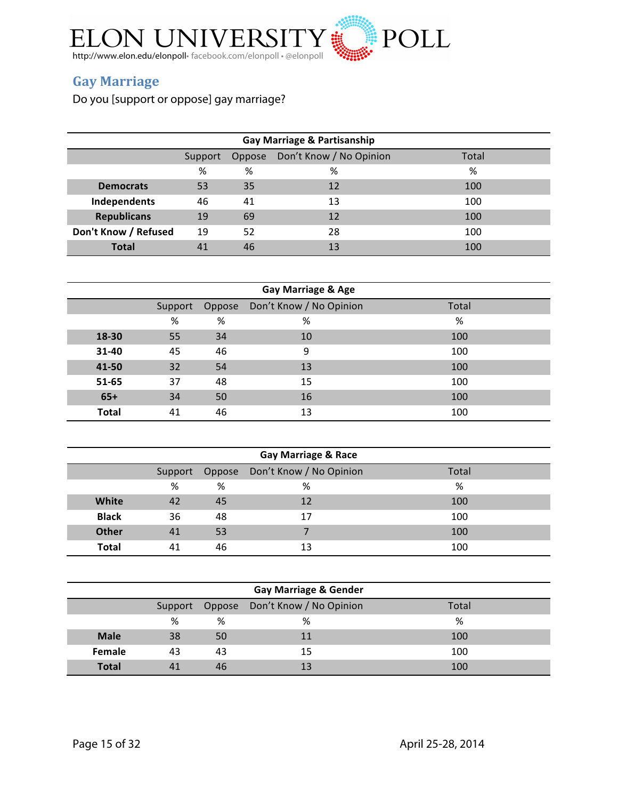

## **Gay&Marriage**

Do you [support or oppose] gay marriage?

| Gay Marriage & Partisanship                           |    |    |    |     |  |  |  |
|-------------------------------------------------------|----|----|----|-----|--|--|--|
| Don't Know / No Opinion<br>Total<br>Oppose<br>Support |    |    |    |     |  |  |  |
|                                                       | %  | %  | %  | %   |  |  |  |
| <b>Democrats</b>                                      | 53 | 35 | 12 | 100 |  |  |  |
| Independents                                          | 46 | 41 | 13 | 100 |  |  |  |
| <b>Republicans</b>                                    | 19 | 69 | 12 | 100 |  |  |  |
| Don't Know / Refused                                  | 19 | 52 | 28 | 100 |  |  |  |
| <b>Total</b>                                          | 41 | 46 | 13 | 100 |  |  |  |

| Gay Marriage & Age |         |        |                         |       |  |  |  |
|--------------------|---------|--------|-------------------------|-------|--|--|--|
|                    | Support | Oppose | Don't Know / No Opinion | Total |  |  |  |
|                    | %       | %      | %                       | %     |  |  |  |
| 18-30              | 55      | 34     | 10                      | 100   |  |  |  |
| 31-40              | 45      | 46     | 9                       | 100   |  |  |  |
| 41-50              | 32      | 54     | 13                      | 100   |  |  |  |
| 51-65              | 37      | 48     | 15                      | 100   |  |  |  |
| $65+$              | 34      | 50     | 16                      | 100   |  |  |  |
| <b>Total</b>       | 41      | 46     | 13                      | 100   |  |  |  |

| <b>Gay Marriage &amp; Race</b> |    |    |                                        |       |  |  |  |
|--------------------------------|----|----|----------------------------------------|-------|--|--|--|
|                                |    |    | Support Oppose Don't Know / No Opinion | Total |  |  |  |
|                                | %  | %  | %                                      | %     |  |  |  |
| <b>White</b>                   | 42 | 45 | 12                                     | 100   |  |  |  |
| <b>Black</b>                   | 36 | 48 | 17                                     | 100   |  |  |  |
| <b>Other</b>                   | 41 | 53 |                                        | 100   |  |  |  |
| Total                          | 41 | 46 | 13                                     | 100   |  |  |  |

| <b>Gay Marriage &amp; Gender</b> |    |    |                                        |       |  |  |  |
|----------------------------------|----|----|----------------------------------------|-------|--|--|--|
|                                  |    |    | Support Oppose Don't Know / No Opinion | Total |  |  |  |
|                                  | %  | %  | %                                      | %     |  |  |  |
| <b>Male</b>                      | 38 | 50 | 11                                     | 100   |  |  |  |
| <b>Female</b>                    | 43 | 43 | 15                                     | 100   |  |  |  |
| <b>Total</b>                     | 41 | 46 | 13                                     | 100   |  |  |  |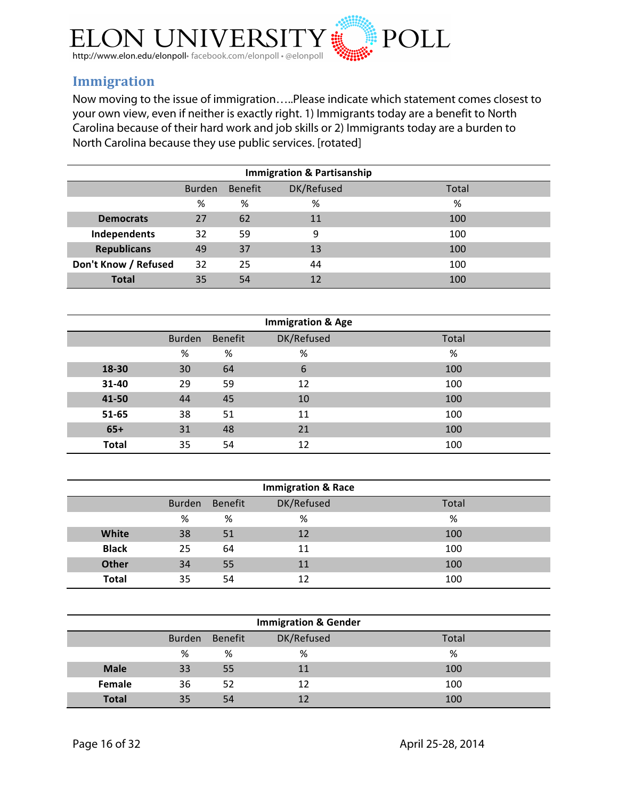

## **Immigration**

Now moving to the issue of immigration…..Please indicate which statement comes closest to your own view, even if neither is exactly right. 1) Immigrants today are a benefit to North Carolina because of their hard work and job skills or 2) Immigrants today are a burden to North Carolina because they use public services. [rotated]

| <b>Immigration &amp; Partisanship</b>           |    |    |    |     |  |  |  |
|-------------------------------------------------|----|----|----|-----|--|--|--|
| DK/Refused<br>Benefit<br>Total<br><b>Burden</b> |    |    |    |     |  |  |  |
|                                                 | %  | %  | %  | %   |  |  |  |
| <b>Democrats</b>                                | 27 | 62 | 11 | 100 |  |  |  |
| Independents                                    | 32 | 59 | 9  | 100 |  |  |  |
| <b>Republicans</b>                              | 49 | 37 | 13 | 100 |  |  |  |
| Don't Know / Refused                            | 32 | 25 | 44 | 100 |  |  |  |
| <b>Total</b>                                    | 35 | 54 | 12 | 100 |  |  |  |

| <b>Immigration &amp; Age</b> |               |                |            |       |  |  |
|------------------------------|---------------|----------------|------------|-------|--|--|
|                              | <b>Burden</b> | <b>Benefit</b> | DK/Refused | Total |  |  |
|                              | %             | %              | %          | %     |  |  |
| 18-30                        | 30            | 64             | 6          | 100   |  |  |
| 31-40                        | 29            | 59             | 12         | 100   |  |  |
| 41-50                        | 44            | 45             | 10         | 100   |  |  |
| 51-65                        | 38            | 51             | 11         | 100   |  |  |
| $65+$                        | 31            | 48             | 21         | 100   |  |  |
| <b>Total</b>                 | 35            | 54             | 12         | 100   |  |  |

| <b>Immigration &amp; Race</b> |               |         |            |       |  |  |
|-------------------------------|---------------|---------|------------|-------|--|--|
|                               | <b>Burden</b> | Benefit | DK/Refused | Total |  |  |
|                               | %             | %       | %          | %     |  |  |
| <b>White</b>                  | 38            | 51      | 12         | 100   |  |  |
| <b>Black</b>                  | 25            | 64      | 11         | 100   |  |  |
| <b>Other</b>                  | 34            | 55      | 11         | 100   |  |  |
| <b>Total</b>                  | 35            | 54      | 12         | 100   |  |  |

| <b>Immigration &amp; Gender</b> |               |         |            |       |  |  |
|---------------------------------|---------------|---------|------------|-------|--|--|
|                                 | <b>Burden</b> | Benefit | DK/Refused | Total |  |  |
|                                 | %             | %       | %          | %     |  |  |
| <b>Male</b>                     | 33            | 55      | 11         | 100   |  |  |
| Female                          | 36            | 52      | 12         | 100   |  |  |
| <b>Total</b>                    | 35            | 54      | 12         | 100   |  |  |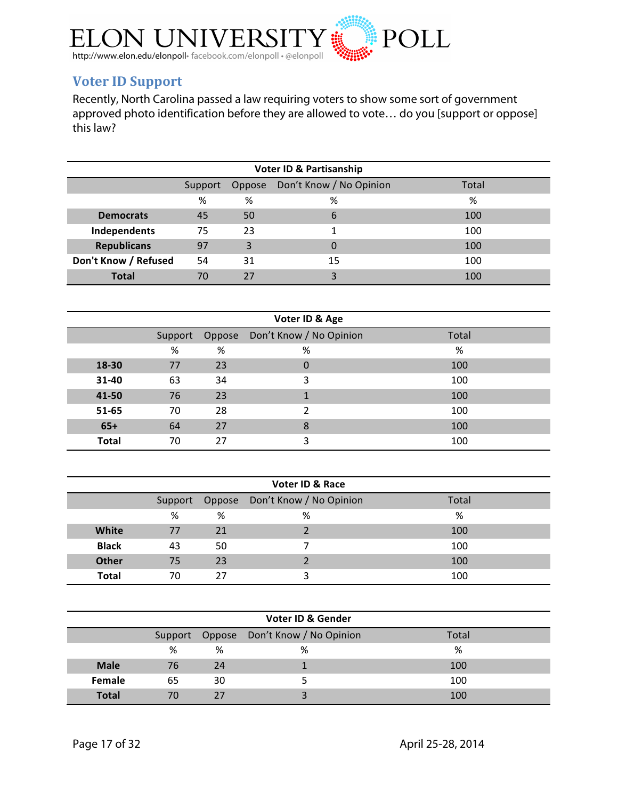

## **Voter ID Support**

Recently, North Carolina passed a law requiring voters to show some sort of government approved photo identification before they are allowed to vote… do you [support or oppose] this law?

| <b>Voter ID &amp; Partisanship</b> |         |        |                         |       |  |
|------------------------------------|---------|--------|-------------------------|-------|--|
|                                    | Support | Oppose | Don't Know / No Opinion | Total |  |
|                                    | %       | %      | %                       | %     |  |
| <b>Democrats</b>                   | 45      | 50     | 6                       | 100   |  |
| Independents                       | 75      | 23     |                         | 100   |  |
| <b>Republicans</b>                 | 97      | 3      |                         | 100   |  |
| Don't Know / Refused               | 54      | 31     | 15                      | 100   |  |
| <b>Total</b>                       | 70      | 27     |                         | 100   |  |

| Voter ID & Age |         |    |                                |       |  |  |
|----------------|---------|----|--------------------------------|-------|--|--|
|                | Support |    | Oppose Don't Know / No Opinion | Total |  |  |
|                | %       | %  | %                              | %     |  |  |
| 18-30          | 77      | 23 | $\boldsymbol{0}$               | 100   |  |  |
| 31-40          | 63      | 34 | 3                              | 100   |  |  |
| 41-50          | 76      | 23 |                                | 100   |  |  |
| 51-65          | 70      | 28 | າ                              | 100   |  |  |
| $65+$          | 64      | 27 | 8                              | 100   |  |  |
| <b>Total</b>   | 70      | 27 | 3                              | 100   |  |  |

| <b>Voter ID &amp; Race</b> |    |    |                                        |       |  |  |
|----------------------------|----|----|----------------------------------------|-------|--|--|
|                            |    |    | Support Oppose Don't Know / No Opinion | Total |  |  |
|                            | %  | %  | %                                      | %     |  |  |
| White                      | 77 | 21 |                                        | 100   |  |  |
| <b>Black</b>               | 43 | 50 |                                        | 100   |  |  |
| <b>Other</b>               | 75 | 23 |                                        | 100   |  |  |
| <b>Total</b>               | 70 | 27 |                                        | 100   |  |  |

|               | <b>Voter ID &amp; Gender</b> |    |                                        |       |  |  |  |
|---------------|------------------------------|----|----------------------------------------|-------|--|--|--|
|               |                              |    | Support Oppose Don't Know / No Opinion | Total |  |  |  |
|               | %                            | %  | %                                      | %     |  |  |  |
| <b>Male</b>   | 76                           | 24 |                                        | 100   |  |  |  |
| <b>Female</b> | 65                           | 30 |                                        | 100   |  |  |  |
| <b>Total</b>  | 70                           | 27 |                                        | 100   |  |  |  |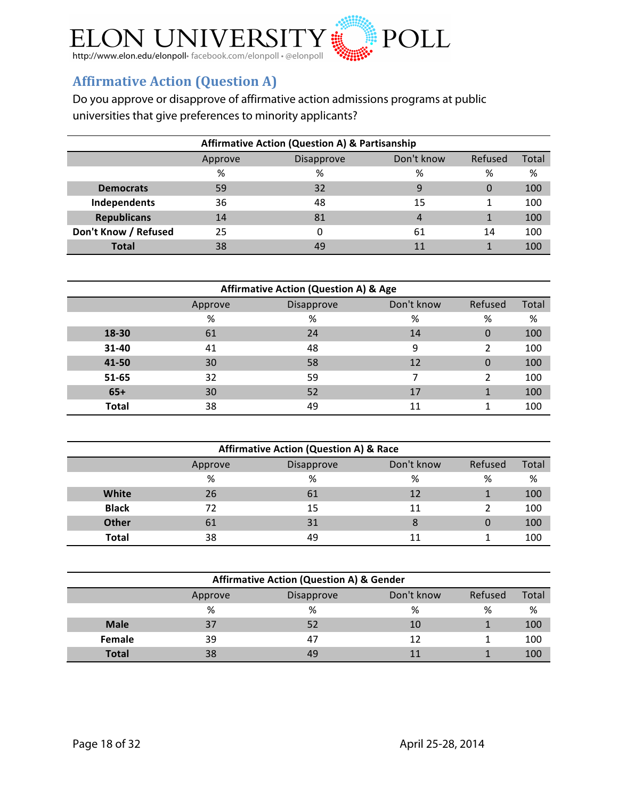

## **Affirmative Action (Question A)**

Do you approve or disapprove of affirmative action admissions programs at public universities that give preferences to minority applicants?

| <b>Affirmative Action (Question A) &amp; Partisanship</b> |         |            |            |         |       |
|-----------------------------------------------------------|---------|------------|------------|---------|-------|
|                                                           | Approve | Disapprove | Don't know | Refused | Total |
|                                                           | %       | %          | %          | %       | %     |
| <b>Democrats</b>                                          | 59      | 32         | 9          | 0       | 100   |
| Independents                                              | 36      | 48         | 15         |         | 100   |
| <b>Republicans</b>                                        | 14      | 81         | 4          |         | 100   |
| Don't Know / Refused                                      | 25      |            | 61         | 14      | 100   |
| <b>Total</b>                                              | 38      | 49         | 11         |         | 100   |

| <b>Affirmative Action (Question A) &amp; Age</b> |         |            |            |                |       |  |
|--------------------------------------------------|---------|------------|------------|----------------|-------|--|
|                                                  | Approve | Disapprove | Don't know | Refused        | Total |  |
|                                                  | %       | %          | %          | %              | %     |  |
| 18-30                                            | 61      | 24         | 14         | 0              | 100   |  |
| $31 - 40$                                        | 41      | 48         | 9          | 2              | 100   |  |
| 41-50                                            | 30      | 58         | 12         | 0              | 100   |  |
| $51 - 65$                                        | 32      | 59         | 7          | $\overline{2}$ | 100   |  |
| $65+$                                            | 30      | 52         | 17         |                | 100   |  |
| <b>Total</b>                                     | 38      | 49         | 11         |                | 100   |  |

| <b>Affirmative Action (Question A) &amp; Race</b> |         |            |            |         |       |  |
|---------------------------------------------------|---------|------------|------------|---------|-------|--|
|                                                   | Approve | Disapprove | Don't know | Refused | Total |  |
|                                                   | %       | %          | %          | %       | %     |  |
| White                                             | 26      | 61         | 12         |         | 100   |  |
| <b>Black</b>                                      | 72      | 15         | 11         |         | 100   |  |
| <b>Other</b>                                      | 61      | 31         | 8          |         | 100   |  |
| Total                                             | 38      | 49         |            |         | 100   |  |

| <b>Affirmative Action (Question A) &amp; Gender</b> |         |            |            |         |       |  |
|-----------------------------------------------------|---------|------------|------------|---------|-------|--|
|                                                     | Approve | Disapprove | Don't know | Refused | Total |  |
|                                                     | %       | %          | %          | %       | %     |  |
| <b>Male</b>                                         | 37      | 52         | 10         |         | 100   |  |
| Female                                              | 39      | 47         | 12         |         | 100   |  |
| <b>Total</b>                                        | 38      | 49         |            |         | 100   |  |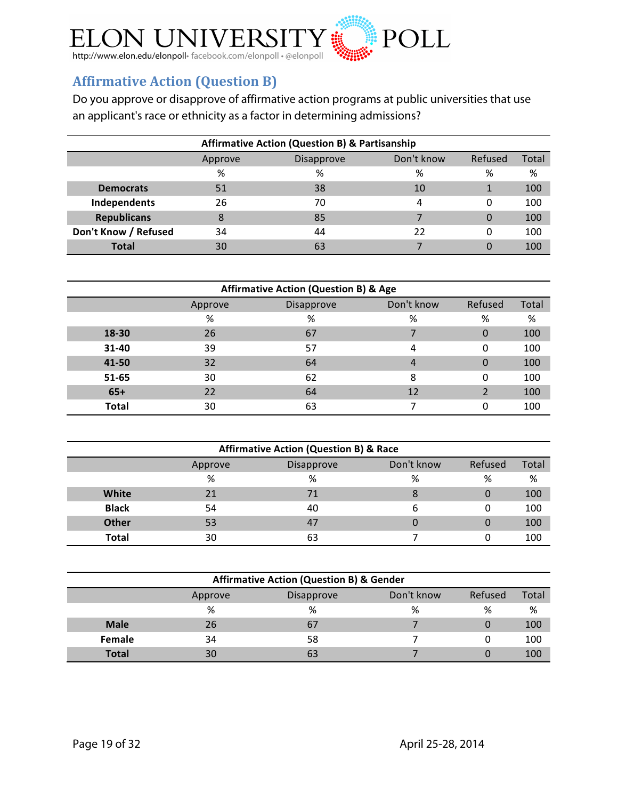

## **Affirmative Action (Question B)**

Do you approve or disapprove of affirmative action programs at public universities that use an applicant's race or ethnicity as a factor in determining admissions?

| <b>Affirmative Action (Question B) &amp; Partisanship</b> |         |            |            |         |       |
|-----------------------------------------------------------|---------|------------|------------|---------|-------|
|                                                           | Approve | Disapprove | Don't know | Refused | Total |
|                                                           | %       | %          | %          | %       | %     |
| <b>Democrats</b>                                          | 51      | 38         | 10         |         | 100   |
| Independents                                              | 26      | 70         | 4          | 0       | 100   |
| <b>Republicans</b>                                        | 8       | 85         |            | 0       | 100   |
| Don't Know / Refused                                      | 34      | 44         | 22         | 0       | 100   |
| <b>Total</b>                                              | 30      | 63         |            |         | 100   |

| <b>Affirmative Action (Question B) &amp; Age</b> |         |            |            |         |       |  |
|--------------------------------------------------|---------|------------|------------|---------|-------|--|
|                                                  | Approve | Disapprove | Don't know | Refused | Total |  |
|                                                  | %       | %          | %          | %       | %     |  |
| 18-30                                            | 26      | 67         |            | 0       | 100   |  |
| $31 - 40$                                        | 39      | 57         |            | 0       | 100   |  |
| 41-50                                            | 32      | 64         | 4          | 0       | 100   |  |
| 51-65                                            | 30      | 62         | 8          | 0       | 100   |  |
| $65+$                                            | 22      | 64         | 12         | 2       | 100   |  |
| <b>Total</b>                                     | 30      | 63         |            |         | 100   |  |

| <b>Affirmative Action (Question B) &amp; Race</b> |         |            |            |         |       |  |
|---------------------------------------------------|---------|------------|------------|---------|-------|--|
|                                                   | Approve | Disapprove | Don't know | Refused | Total |  |
|                                                   | %       | %          | %          | %       | %     |  |
| White                                             | 21      | 71         | 8          |         | 100   |  |
| <b>Black</b>                                      | 54      | 40         | b          |         | 100   |  |
| <b>Other</b>                                      | 53      | 47         |            |         | 100   |  |
| Total                                             | 30      | 63         |            |         | 100   |  |

| <b>Affirmative Action (Question B) &amp; Gender</b> |         |            |            |         |       |  |
|-----------------------------------------------------|---------|------------|------------|---------|-------|--|
|                                                     | Approve | Disapprove | Don't know | Refused | Total |  |
|                                                     | %       | %          | %          | %       | %     |  |
| <b>Male</b>                                         | 26      | 67         |            |         | 100   |  |
| Female                                              | 34      | 58         |            |         | 100   |  |
| <b>Total</b>                                        | 30      | 63         |            |         | 100   |  |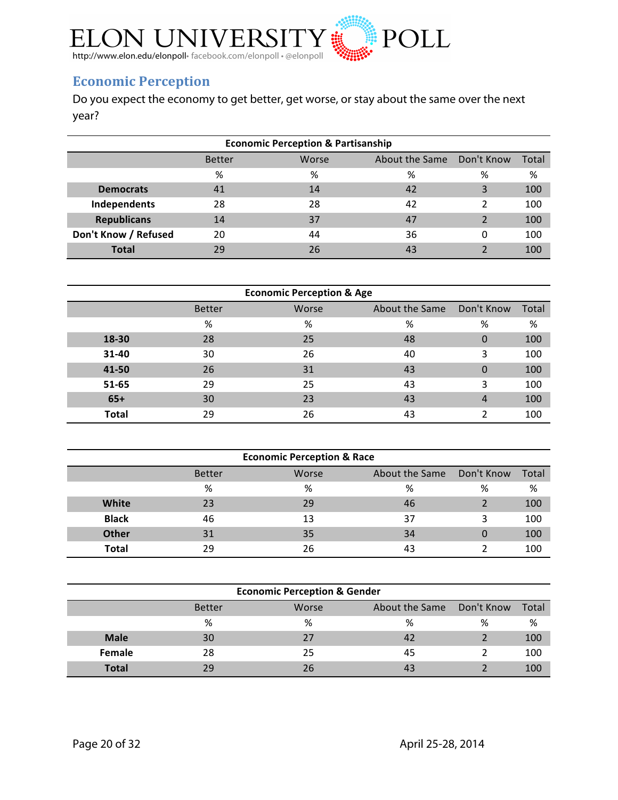

## **Economic Perception**

Do you expect the economy to get better, get worse, or stay about the same over the next year?

| <b>Economic Perception &amp; Partisanship</b> |                                                              |    |    |   |     |  |  |  |  |
|-----------------------------------------------|--------------------------------------------------------------|----|----|---|-----|--|--|--|--|
|                                               | About the Same Don't Know<br>Total<br>Worse<br><b>Better</b> |    |    |   |     |  |  |  |  |
|                                               | %                                                            | %  | %  | % | %   |  |  |  |  |
| <b>Democrats</b>                              | 41                                                           | 14 | 42 | 3 | 100 |  |  |  |  |
| Independents                                  | 28                                                           | 28 | 42 | າ | 100 |  |  |  |  |
| <b>Republicans</b>                            | 14                                                           | 37 | 47 | っ | 100 |  |  |  |  |
| Don't Know / Refused                          | 20                                                           | 44 | 36 | 0 | 100 |  |  |  |  |
| <b>Total</b>                                  | 29                                                           | 26 | 43 | C | 100 |  |  |  |  |

| <b>Economic Perception &amp; Age</b> |               |       |                |            |       |  |  |  |
|--------------------------------------|---------------|-------|----------------|------------|-------|--|--|--|
|                                      | <b>Better</b> | Worse | About the Same | Don't Know | Total |  |  |  |
|                                      | %             | %     | %              | %          | %     |  |  |  |
| 18-30                                | 28            | 25    | 48             | 0          | 100   |  |  |  |
| 31-40                                | 30            | 26    | 40             | 3          | 100   |  |  |  |
| 41-50                                | 26            | 31    | 43             | 0          | 100   |  |  |  |
| 51-65                                | 29            | 25    | 43             | 3          | 100   |  |  |  |
| $65+$                                | 30            | 23    | 43             | 4          | 100   |  |  |  |
| <b>Total</b>                         | 29            | 26    | 43             | າ          | 100   |  |  |  |

| <b>Economic Perception &amp; Race</b> |               |       |                |            |       |  |  |  |
|---------------------------------------|---------------|-------|----------------|------------|-------|--|--|--|
|                                       | <b>Better</b> | Worse | About the Same | Don't Know | Total |  |  |  |
|                                       | %             | %     | %              | %          | %     |  |  |  |
| White                                 | 23            | 29    | 46             |            | 100   |  |  |  |
| <b>Black</b>                          | 46            | 13    | 37             | 3          | 100   |  |  |  |
| <b>Other</b>                          | 31            | 35    | 34             | 0          | 100   |  |  |  |
| <b>Total</b>                          | 29            | 26    | 43             |            | 100   |  |  |  |

| <b>Economic Perception &amp; Gender</b> |               |       |                |            |       |  |  |  |
|-----------------------------------------|---------------|-------|----------------|------------|-------|--|--|--|
|                                         | <b>Better</b> | Worse | About the Same | Don't Know | Total |  |  |  |
|                                         | %             | %     | ℅              | %          | %     |  |  |  |
| <b>Male</b>                             | 30            | 27    | 42             |            | 100   |  |  |  |
| Female                                  | 28            | 25    | 45             |            | 100   |  |  |  |
| <b>Total</b>                            | 29            | 26    |                |            | 100   |  |  |  |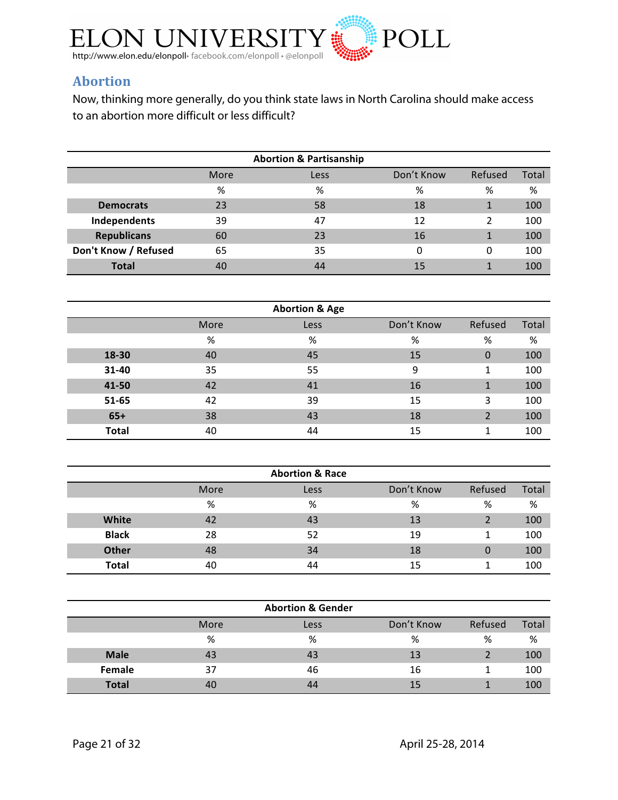

## **Abortion**

Now, thinking more generally, do you think state laws in North Carolina should make access to an abortion more difficult or less difficult?

| <b>Abortion &amp; Partisanship</b>             |    |    |    |   |     |  |  |  |
|------------------------------------------------|----|----|----|---|-----|--|--|--|
| Don't Know<br>Refused<br>Total<br>More<br>Less |    |    |    |   |     |  |  |  |
|                                                | %  | %  | %  | % | %   |  |  |  |
| <b>Democrats</b>                               | 23 | 58 | 18 |   | 100 |  |  |  |
| Independents                                   | 39 | 47 | 12 | 2 | 100 |  |  |  |
| <b>Republicans</b>                             | 60 | 23 | 16 |   | 100 |  |  |  |
| Don't Know / Refused                           | 65 | 35 | 0  | 0 | 100 |  |  |  |
| <b>Total</b>                                   | 40 | 44 | 15 |   | 100 |  |  |  |

| <b>Abortion &amp; Age</b> |      |      |            |          |       |  |  |  |
|---------------------------|------|------|------------|----------|-------|--|--|--|
|                           | More | Less | Don't Know | Refused  | Total |  |  |  |
|                           | %    | %    | %          | %        | %     |  |  |  |
| 18-30                     | 40   | 45   | 15         | $\Omega$ | 100   |  |  |  |
| 31-40                     | 35   | 55   | 9          | 1        | 100   |  |  |  |
| 41-50                     | 42   | 41   | 16         | 1        | 100   |  |  |  |
| 51-65                     | 42   | 39   | 15         | 3        | 100   |  |  |  |
| $65+$                     | 38   | 43   | 18         | っ        | 100   |  |  |  |
| <b>Total</b>              | 40   | 44   | 15         |          | 100   |  |  |  |

|              |      | <b>Abortion &amp; Race</b> |            |         |       |
|--------------|------|----------------------------|------------|---------|-------|
|              | More | Less                       | Don't Know | Refused | Total |
|              | %    | %                          | %          | %       | %     |
| White        | 42   | 43                         | 13         |         | 100   |
| <b>Black</b> | 28   | 52                         | 19         |         | 100   |
| <b>Other</b> | 48   | 34                         | 18         | 0       | 100   |
| <b>Total</b> | 40   | 44                         | 15         |         | 100   |

|              |      | <b>Abortion &amp; Gender</b> |            |         |       |
|--------------|------|------------------------------|------------|---------|-------|
|              | More | Less                         | Don't Know | Refused | Total |
|              | %    | %                            | %          | %       | %     |
| <b>Male</b>  | 43   | 43                           | 13         |         | 100   |
| Female       | 37   | 46                           | 16         |         | 100   |
| <b>Total</b> | 40   | 44                           | 15         |         | 100   |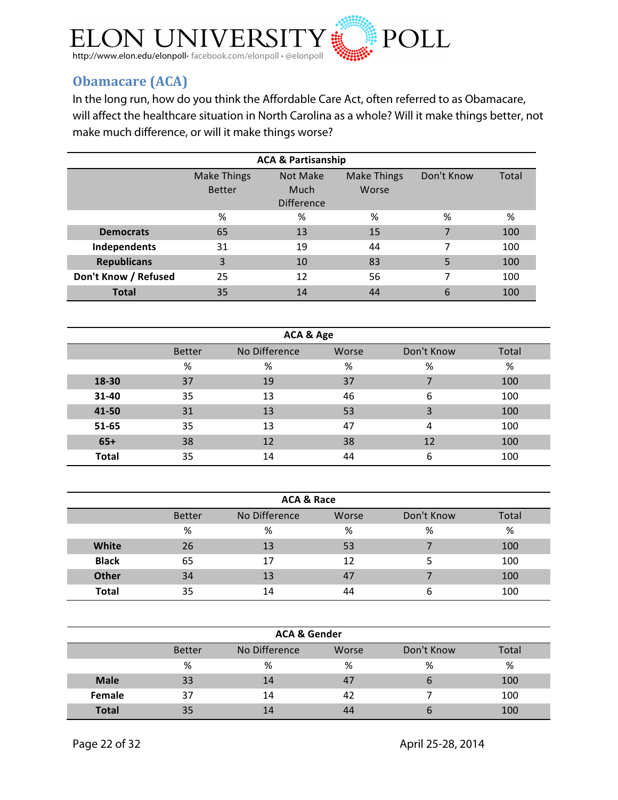

## **Obamacare (ACA)**

In the long run, how do you think the Affordable Care Act, often referred to as Obamacare, will affect the healthcare situation in North Carolina as a whole? Will it make things better, not make much difference, or will it make things worse?

| <b>ACA &amp; Partisanship</b> |                    |          |             |            |       |  |  |  |  |
|-------------------------------|--------------------|----------|-------------|------------|-------|--|--|--|--|
|                               | <b>Make Things</b> | Not Make | Make Things | Don't Know | Total |  |  |  |  |
|                               | <b>Better</b>      | Much     | Worse       |            |       |  |  |  |  |
|                               | <b>Difference</b>  |          |             |            |       |  |  |  |  |
|                               | %                  | %        | %           | %          | %     |  |  |  |  |
| <b>Democrats</b>              | 65                 | 13       | 15          | 7          | 100   |  |  |  |  |
| Independents                  | 31                 | 19       | 44          | 7          | 100   |  |  |  |  |
| <b>Republicans</b>            | 3                  | 10       | 83          | 5          | 100   |  |  |  |  |
| Don't Know / Refused          | 25                 | 12       | 56          | 7          | 100   |  |  |  |  |
| <b>Total</b>                  | 35                 | 14       | 44          | 6          | 100   |  |  |  |  |

| ACA & Age    |               |               |       |            |       |  |  |  |
|--------------|---------------|---------------|-------|------------|-------|--|--|--|
|              | <b>Better</b> | No Difference | Worse | Don't Know | Total |  |  |  |
|              | %             | %             | %     | %          | %     |  |  |  |
| 18-30        | 37            | 19            | 37    |            | 100   |  |  |  |
| 31-40        | 35            | 13            | 46    | 6          | 100   |  |  |  |
| 41-50        | 31            | 13            | 53    | 3          | 100   |  |  |  |
| 51-65        | 35            | 13            | 47    | 4          | 100   |  |  |  |
| $65+$        | 38            | 12            | 38    | 12         | 100   |  |  |  |
| <b>Total</b> | 35            | 14            | 44    | 6          | 100   |  |  |  |

| <b>ACA &amp; Race</b> |               |               |       |            |       |  |  |  |
|-----------------------|---------------|---------------|-------|------------|-------|--|--|--|
|                       | <b>Better</b> | No Difference | Worse | Don't Know | Total |  |  |  |
|                       | %             | %             | %     | %          | ℅     |  |  |  |
| White                 | 26            | 13            | 53    |            | 100   |  |  |  |
| <b>Black</b>          | 65            | 17            | 12    | 5          | 100   |  |  |  |
| Other                 | 34            | 13            | 47    |            | 100   |  |  |  |
| <b>Total</b>          | 35            | 14            | 44    | 6          | 100   |  |  |  |

| <b>ACA &amp; Gender</b> |               |               |       |             |       |  |  |  |
|-------------------------|---------------|---------------|-------|-------------|-------|--|--|--|
|                         | <b>Better</b> | No Difference | Worse | Don't Know  | Total |  |  |  |
|                         | %             | %             | %     | %           | ℅     |  |  |  |
| <b>Male</b>             | 33            | 14            | 47    | $\mathbf b$ | 100   |  |  |  |
| Female                  | 37            | 14            | 42    |             | 100   |  |  |  |
| <b>Total</b>            | 35            | 14            | 44    | b           | 100   |  |  |  |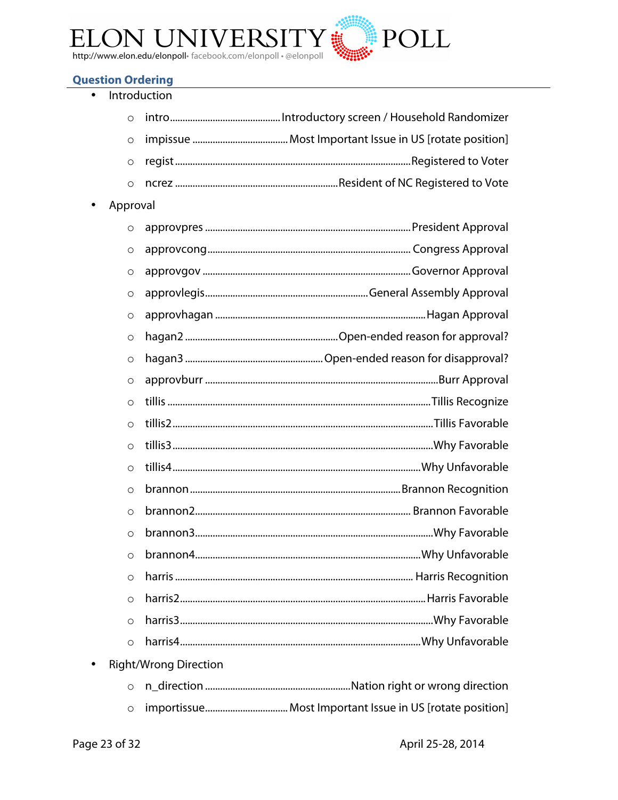

## **Question Ordering**

| Introduction |                              |  |
|--------------|------------------------------|--|
| $\circ$      |                              |  |
| $\circ$      |                              |  |
| $\circ$      |                              |  |
| $\circ$      |                              |  |
| Approval     |                              |  |
| $\circ$      |                              |  |
| $\circ$      |                              |  |
| $\circ$      |                              |  |
| $\circ$      |                              |  |
| $\circ$      |                              |  |
| $\circ$      |                              |  |
| $\circ$      |                              |  |
| $\circ$      |                              |  |
| $\circ$      |                              |  |
| $\circ$      |                              |  |
| $\circ$      |                              |  |
| $\circ$      |                              |  |
| $\circ$      |                              |  |
| $\circ$      |                              |  |
| $\circ$      |                              |  |
| $\circ$      |                              |  |
| $\circ$      |                              |  |
| $\circ$      |                              |  |
| $\circ$      |                              |  |
| $\circ$      |                              |  |
|              | <b>Right/Wrong Direction</b> |  |
| $\circ$      |                              |  |
| $\circ$      |                              |  |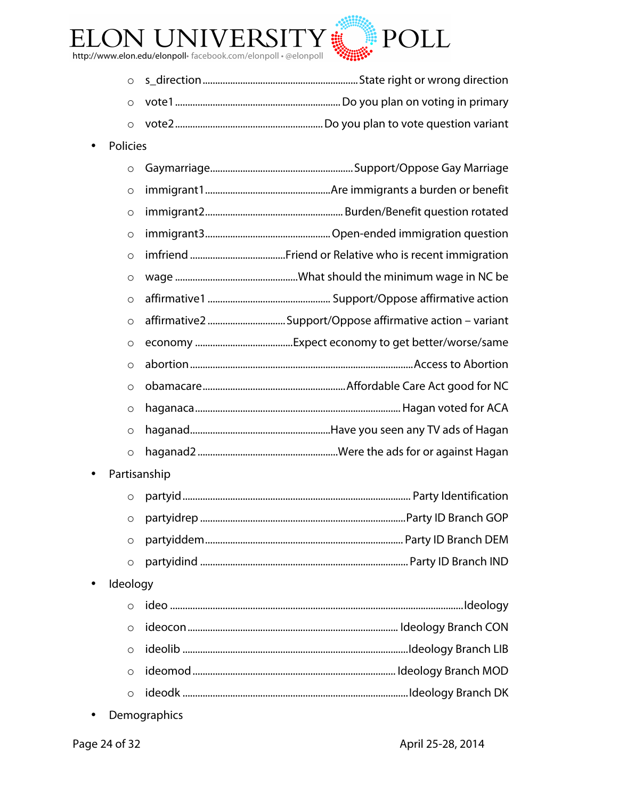

- o s\_direction..............................................................State right or wrong direction
- o vote1..................................................................Do you plan on voting in primary
- o vote2...........................................................Do you plan to vote question variant
- Policies

| $\circ$           |  |  |
|-------------------|--|--|
| $\circ$           |  |  |
| $\circ$           |  |  |
| $\circ$           |  |  |
| $\circ$           |  |  |
| $\circ$           |  |  |
| $\circ$           |  |  |
| $\circ$           |  |  |
| $\circ$           |  |  |
| $\circ$           |  |  |
| $\circ$           |  |  |
| $\circ$           |  |  |
| $\circ$           |  |  |
| $\circ$           |  |  |
| Partisanship<br>٠ |  |  |
| $\circ$           |  |  |
|                   |  |  |

- o partyidrep ..................................................................................Party ID Branch GOP o partyiddem............................................................................... Party ID Branch DEM
- o partyidind ................................................................................... Party ID Branch IND
- Ideology

• Demographics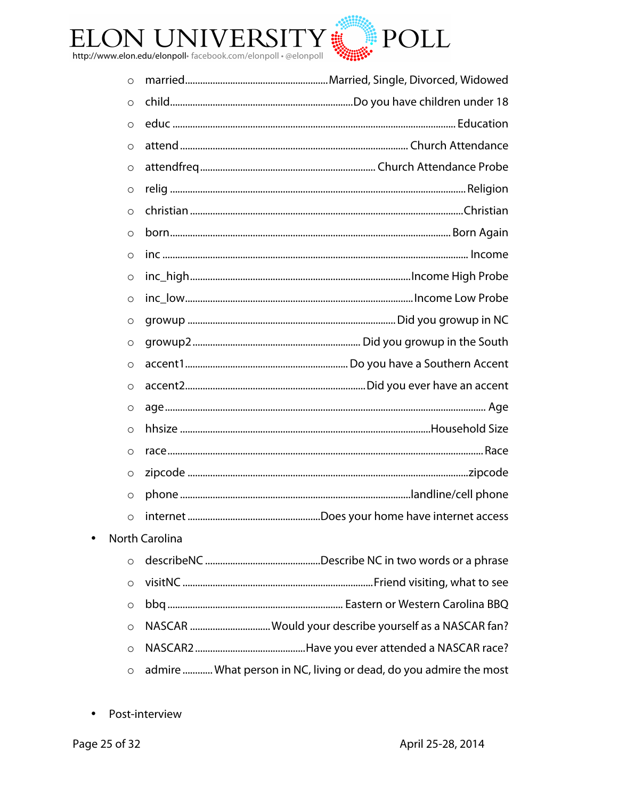

| O                   |                                                                   |
|---------------------|-------------------------------------------------------------------|
| $\circ$             |                                                                   |
| $\circ$             |                                                                   |
| $\circ$             |                                                                   |
| $\circ$             |                                                                   |
| $\circ$             |                                                                   |
| $\circ$             |                                                                   |
| $\circ$             |                                                                   |
| $\circ$             |                                                                   |
| $\circ$             |                                                                   |
| $\circ$             |                                                                   |
| $\circ$             |                                                                   |
| $\circ$             |                                                                   |
| $\circ$             |                                                                   |
| $\circ$             |                                                                   |
| $\circlearrowright$ |                                                                   |
| $\circ$             |                                                                   |
| $\circ$             |                                                                   |
| $\circ$             |                                                                   |
| $\circ$             |                                                                   |
| $\circ$             |                                                                   |
|                     | <b>North Carolina</b>                                             |
| $\circ$             |                                                                   |
| O                   |                                                                   |
| $\circ$             |                                                                   |
| $\circ$             | NASCAR  Would your describe yourself as a NASCAR fan?             |
| $\circ$             |                                                                   |
| $\circ$             | admire  What person in NC, living or dead, do you admire the most |

• Post-interview

 $\bullet$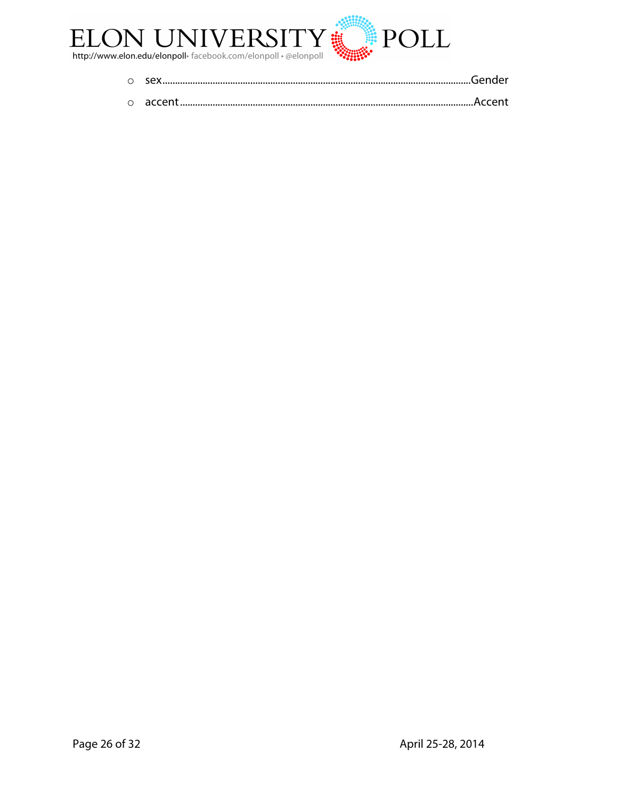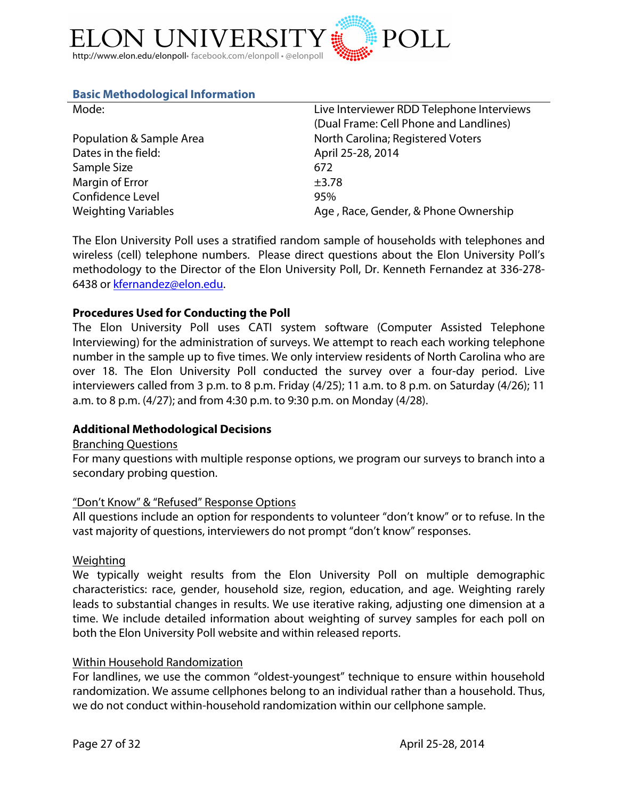

## **Basic Methodological Information**

| Mode:                      | Live Interviewer RDD Telephone Interviews |  |
|----------------------------|-------------------------------------------|--|
|                            | (Dual Frame: Cell Phone and Landlines)    |  |
| Population & Sample Area   | North Carolina; Registered Voters         |  |
| Dates in the field:        | April 25-28, 2014                         |  |
| Sample Size                | 672                                       |  |
| Margin of Error            | $\pm$ 3.78                                |  |
| Confidence Level           | 95%                                       |  |
| <b>Weighting Variables</b> | Age, Race, Gender, & Phone Ownership      |  |

The Elon University Poll uses a stratified random sample of households with telephones and wireless (cell) telephone numbers. Please direct questions about the Elon University Poll's methodology to the Director of the Elon University Poll, Dr. Kenneth Fernandez at 336-278- 6438 or kfernandez@elon.edu.

### **Procedures Used for Conducting the Poll**

The Elon University Poll uses CATI system software (Computer Assisted Telephone Interviewing) for the administration of surveys. We attempt to reach each working telephone number in the sample up to five times. We only interview residents of North Carolina who are over 18. The Elon University Poll conducted the survey over a four-day period. Live interviewers called from 3 p.m. to 8 p.m. Friday (4/25); 11 a.m. to 8 p.m. on Saturday (4/26); 11 a.m. to 8 p.m. (4/27); and from 4:30 p.m. to 9:30 p.m. on Monday (4/28).

## **Additional Methodological Decisions**

#### Branching Questions

For many questions with multiple response options, we program our surveys to branch into a secondary probing question.

#### "Don't Know" & "Refused" Response Options

All questions include an option for respondents to volunteer "don't know" or to refuse. In the vast majority of questions, interviewers do not prompt "don't know" responses.

#### Weighting

We typically weight results from the Elon University Poll on multiple demographic characteristics: race, gender, household size, region, education, and age. Weighting rarely leads to substantial changes in results. We use iterative raking, adjusting one dimension at a time. We include detailed information about weighting of survey samples for each poll on both the Elon University Poll website and within released reports.

#### Within Household Randomization

For landlines, we use the common "oldest-youngest" technique to ensure within household randomization. We assume cellphones belong to an individual rather than a household. Thus, we do not conduct within-household randomization within our cellphone sample.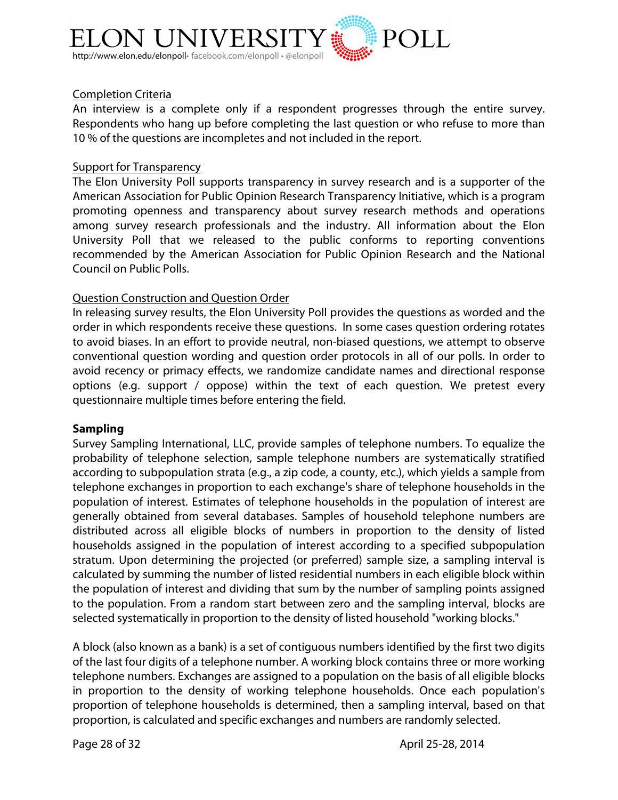

## Completion Criteria

An interview is a complete only if a respondent progresses through the entire survey. Respondents who hang up before completing the last question or who refuse to more than 10 % of the questions are incompletes and not included in the report.

#### Support for Transparency

The Elon University Poll supports transparency in survey research and is a supporter of the American Association for Public Opinion Research Transparency Initiative, which is a program promoting openness and transparency about survey research methods and operations among survey research professionals and the industry. All information about the Elon University Poll that we released to the public conforms to reporting conventions recommended by the American Association for Public Opinion Research and the National Council on Public Polls.

### Question Construction and Question Order

In releasing survey results, the Elon University Poll provides the questions as worded and the order in which respondents receive these questions. In some cases question ordering rotates to avoid biases. In an effort to provide neutral, non-biased questions, we attempt to observe conventional question wording and question order protocols in all of our polls. In order to avoid recency or primacy effects, we randomize candidate names and directional response options (e.g. support / oppose) within the text of each question. We pretest every questionnaire multiple times before entering the field.

#### **Sampling**

Survey Sampling International, LLC, provide samples of telephone numbers. To equalize the probability of telephone selection, sample telephone numbers are systematically stratified according to subpopulation strata (e.g., a zip code, a county, etc.), which yields a sample from telephone exchanges in proportion to each exchange's share of telephone households in the population of interest. Estimates of telephone households in the population of interest are generally obtained from several databases. Samples of household telephone numbers are distributed across all eligible blocks of numbers in proportion to the density of listed households assigned in the population of interest according to a specified subpopulation stratum. Upon determining the projected (or preferred) sample size, a sampling interval is calculated by summing the number of listed residential numbers in each eligible block within the population of interest and dividing that sum by the number of sampling points assigned to the population. From a random start between zero and the sampling interval, blocks are selected systematically in proportion to the density of listed household "working blocks."

A block (also known as a bank) is a set of contiguous numbers identified by the first two digits of the last four digits of a telephone number. A working block contains three or more working telephone numbers. Exchanges are assigned to a population on the basis of all eligible blocks in proportion to the density of working telephone households. Once each population's proportion of telephone households is determined, then a sampling interval, based on that proportion, is calculated and specific exchanges and numbers are randomly selected.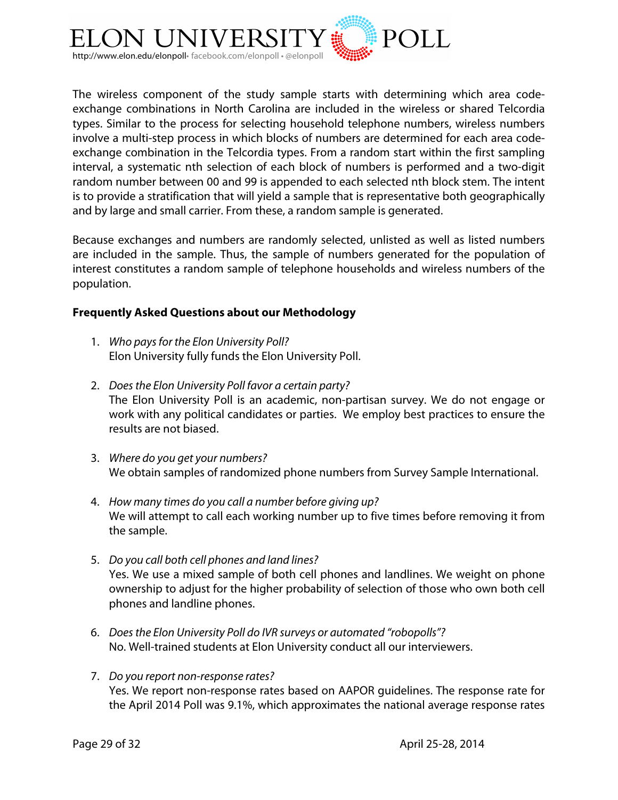

The wireless component of the study sample starts with determining which area codeexchange combinations in North Carolina are included in the wireless or shared Telcordia types. Similar to the process for selecting household telephone numbers, wireless numbers involve a multi-step process in which blocks of numbers are determined for each area codeexchange combination in the Telcordia types. From a random start within the first sampling interval, a systematic nth selection of each block of numbers is performed and a two-digit random number between 00 and 99 is appended to each selected nth block stem. The intent is to provide a stratification that will yield a sample that is representative both geographically and by large and small carrier. From these, a random sample is generated.

Because exchanges and numbers are randomly selected, unlisted as well as listed numbers are included in the sample. Thus, the sample of numbers generated for the population of interest constitutes a random sample of telephone households and wireless numbers of the population.

## **Frequently Asked Questions about our Methodology**

- 1. *Who pays for the Elon University Poll?* Elon University fully funds the Elon University Poll.
- 2. *Does the Elon University Poll favor a certain party?* The Elon University Poll is an academic, non-partisan survey. We do not engage or work with any political candidates or parties. We employ best practices to ensure the results are not biased.
- 3. *Where do you get your numbers?* We obtain samples of randomized phone numbers from Survey Sample International.
- 4. *How many times do you call a number before giving up?* We will attempt to call each working number up to five times before removing it from the sample.
- 5. *Do you call both cell phones and land lines?* Yes. We use a mixed sample of both cell phones and landlines. We weight on phone ownership to adjust for the higher probability of selection of those who own both cell phones and landline phones.
- 6. *Does the Elon University Poll do IVR surveys or automated "robopolls"?* No. Well-trained students at Elon University conduct all our interviewers.
- 7. *Do you report non-response rates?* Yes. We report non-response rates based on AAPOR guidelines. The response rate for the April 2014 Poll was 9.1%, which approximates the national average response rates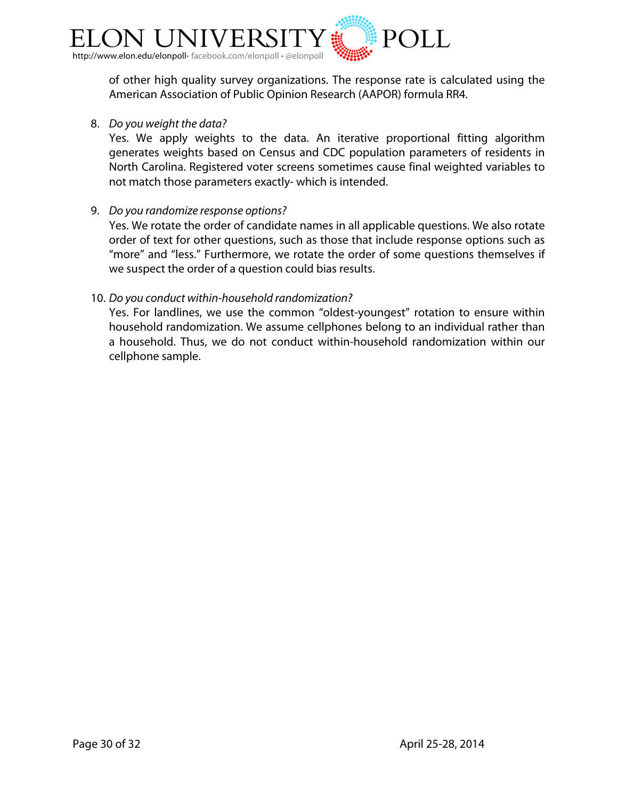

of other high quality survey organizations. The response rate is calculated using the American Association of Public Opinion Research (AAPOR) formula RR4.

8. *Do you weight the data?*

Yes. We apply weights to the data. An iterative proportional fitting algorithm generates weights based on Census and CDC population parameters of residents in North Carolina. Registered voter screens sometimes cause final weighted variables to not match those parameters exactly- which is intended.

9. *Do you randomize response options?*

Yes. We rotate the order of candidate names in all applicable questions. We also rotate order of text for other questions, such as those that include response options such as "more" and "less." Furthermore, we rotate the order of some questions themselves if we suspect the order of a question could bias results.

### 10. *Do you conduct within-household randomization?*

Yes. For landlines, we use the common "oldest-youngest" rotation to ensure within household randomization. We assume cellphones belong to an individual rather than a household. Thus, we do not conduct within-household randomization within our cellphone sample.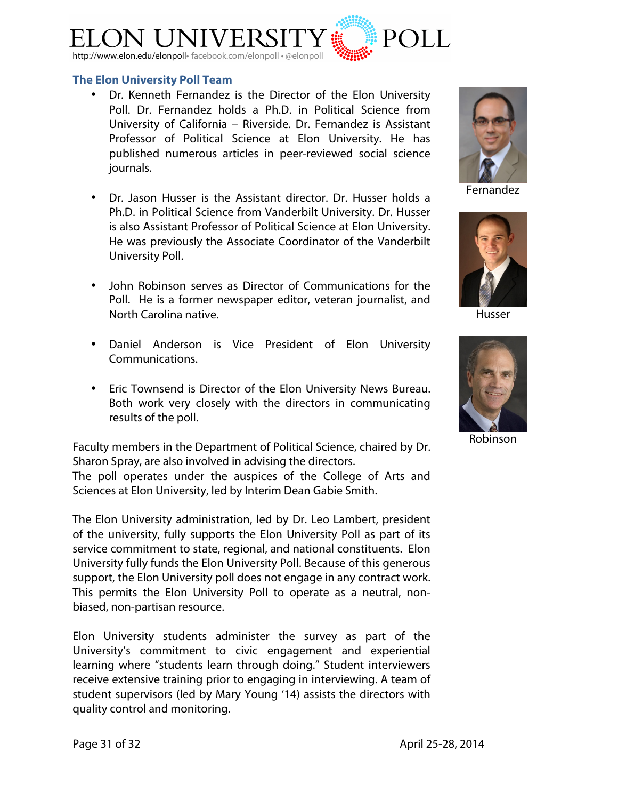

#### **The Elon University Poll Team**

- Dr. Kenneth Fernandez is the Director of the Elon University Poll. Dr. Fernandez holds a Ph.D. in Political Science from University of California – Riverside. Dr. Fernandez is Assistant Professor of Political Science at Elon University. He has published numerous articles in peer-reviewed social science journals.
- Dr. Jason Husser is the Assistant director. Dr. Husser holds a Ph.D. in Political Science from Vanderbilt University. Dr. Husser is also Assistant Professor of Political Science at Elon University. He was previously the Associate Coordinator of the Vanderbilt University Poll.
- John Robinson serves as Director of Communications for the Poll. He is a former newspaper editor, veteran journalist, and North Carolina native.
- Daniel Anderson is Vice President of Elon University Communications.
- Eric Townsend is Director of the Elon University News Bureau. Both work very closely with the directors in communicating results of the poll.

Faculty members in the Department of Political Science, chaired by Dr. Sharon Spray, are also involved in advising the directors.

The poll operates under the auspices of the College of Arts and Sciences at Elon University, led by Interim Dean Gabie Smith.

The Elon University administration, led by Dr. Leo Lambert, president of the university, fully supports the Elon University Poll as part of its service commitment to state, regional, and national constituents. Elon University fully funds the Elon University Poll. Because of this generous support, the Elon University poll does not engage in any contract work. This permits the Elon University Poll to operate as a neutral, nonbiased, non-partisan resource.

Elon University students administer the survey as part of the University's commitment to civic engagement and experiential learning where "students learn through doing." Student interviewers receive extensive training prior to engaging in interviewing. A team of student supervisors (led by Mary Young '14) assists the directors with quality control and monitoring.



Fernandez



Husser



Robinson